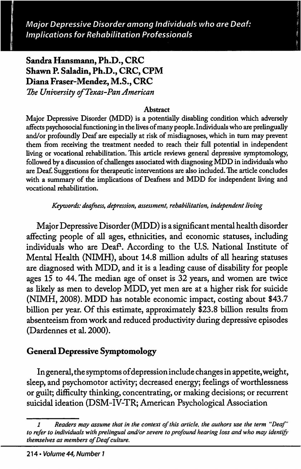Major Depressive Disorder among Individuals who are Deaf: Implications for Rehabilitation Professionals

# Sandra Hansmann, Ph.D., CRC Shawn P. Saladin, Ph.D., CRC, CPM Diana Fraser-Mendez, M.S., CRC

The University of Texas-Pan American

#### **Abstract**

Major Depressive Disorder (MDD) is a potentially disabling condition which adversely affects psychosocial functioning in the lives of many people. Individuals who are prelingually and/or profoimdly Deaf are especially at risk of misdiagnoses, which in turn may prevent them from receiving the treatment needed to reach their full potential in independent living or vocational rehabilitation. This article reviews general depressive symptomology, followed by a discussion of challenges associated with diagnosing MDD in individuals who are Deaf. Suggestions for therapeutic interventions are also included. The article concludes with a summary of the implications of Deafness and MDD for independent living and vocational rehabilitation.

Keywords: deafness, depression, assessment, rehabilitation, independent living

Major Depressive Disorder (MDD) is a significant mental health disorder affecting people of all ages, ethnicities, and economic statuses, including individuals who are Deaf<sup>1</sup>. According to the U.S. National Institute of Mental Health (NIMH), about 14.8 million adults of all hearing statuses are diagnosed with MDD, and it is a leading cause of disability for people ages 15 to 44. The median age of onset is 32 years, and women are twice as likely as men to develop MDD, yet men are at a higher risk for suicide (NIMH, 2008). MDD has notable economic impact, costing about \$43.7 billion per year. Of this estimate, approximately \$23.8 billion results from absenteeism from work and reduced productivity during depressive episodes (Dardennes et al. 2000).

### General Depressive Symptomology

In general, the symptoms of depression include changes in appetite, weight, sleep, and psychomotor activity; decreased energy; feelings of worthlessness or guilt; difficulty thinking, concentrating, or making decisions; or recurrent suicidal ideation (DSM-IV-TR; American Psychological Association

<sup>1</sup> Readers may assume that in the context of this article, the authors use the term "Deaf to refer to individuals with prelingual and/or severe to profound hearing loss and who may identif themselves as members of Deaf culture.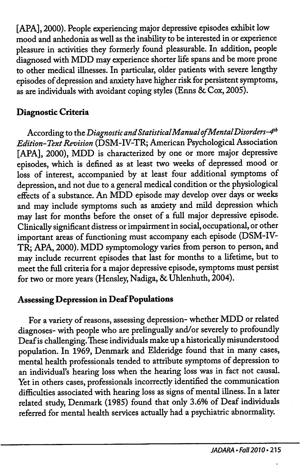[APA], 2000). People experiencing major depressive episodes exhibit low mood and anhedonia as well as the inability to be interested in or experience pleasure in activities they formerly found pleasurable. In addition, people diagnosed with MDD may experience shorter life spans and be more prone to other medical illnesses. In particular, older patients with severe lengthy episodes of depression and anxiety have higher risk for persistent symptoms, as are individuals with avoidant coping styles (Enns 8c Cox, 2005).

# Diagnostic Criteria

According to the Diagnostic and Statistical Manual of Mental Disorders-4<sup>th</sup> Edition-Text Revision (DSM-IV-TR; American Psychological Association [APA], 2000), MDD is characterized by one or more major depressive episodes, which is defined as at least two weeks of depressed mood or loss of interest, accompanied by at least four additional symptoms of depression, and not due to a general medical condition or the physiological effects of a substance. An MDD episode may develop over days or weeks and may include symptoms such as anxiety and mild depression which may last for months before the onset of a full major depressive episode. Clinically significant distress or impairment in social, occupational, or other important areas of functioning must accompany each episode (DSM-IV-TR; APA, 2000). MDD symptomology varies from person to person, and may include recurrent episodes that last for months to a lifetime, but to meet the full criteria for a major depressive episode, symptoms must persist for two or more years (Hensley, Nadiga, & Uhlenhuth, 2004).

## Assessing Depression in Deaf Populations

For a variety of reasons, assessing depression- whether MDD or related diagnoses- with people who are prelingually and/or severely to profoundly Deaf is challenging. These individuals make up a historically misunderstood population. In 1969, Denmark and Elderidge found that in many cases, mental health professionals tended to attribute symptoms of depression to an individual's hearing loss when the hearing loss was in fact not causal. Yet in others cases, professionals incorrectly identified the communication difficulties associated with hearing loss as signs of mental illness. In a later related study, Denmark (1985) found that only 3.6% of Deaf individuals referred for mental health services actually had a psychiatric abnormality.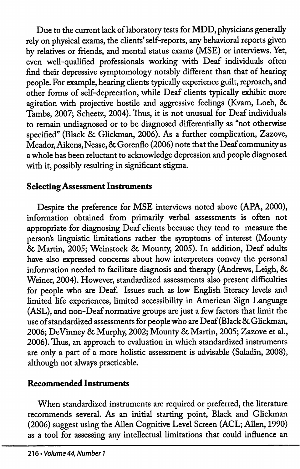Due to the current lack of laboratory tests for MDD, physicians generally rely on physical exams, the clients' self-reports, any behavioral reports given by relatives or friends, and mental status exams (MSE) or interviews. Yet, even well-qualified professionals working with Deaf individuals often find their depressive symptomology notably different than that of hearing people. For example, hearing clients typically experience guilt, reproach, and other forms of self-deprecation, while Deaf clients typically exhibit more agitation with projective hostile and aggressive feelings (Kvam, Loeb, 8c Tambs, 2007; Scheetz, 2004). Thus, it is not unusual for Deaf individuals to remain undiagnosed or to be diagnosed differentially as "not otherwise specified" (Black & Glickman, 2006). As a further complication, Zazove, Meador, Aikens,Nease, 8cGorenflo (2006) note that the Deaf community as a whole has been reluctant to acknowledge depression and people diagnosed with it, possibly resulting in significant stigma.

# Selecting Assessment Instruments

Despite the preference for MSE interviews noted above (APA, 2000), information obtained from primarily verbal assessments is often not appropriate for diagnosing Deaf clients because they tend to measure the person's linguistic limitations rather the symptoms of interest (Mounty 8c Martin, 2005; Weinstock 8c Mounty, 2005). In addition. Deaf adults have also expressed concerns about how interpreters convey the personal information needed to facilitate diagnosis and therapy (Andrews, Leigh, 8c Weiner, 2004). However, standardized assessments also present difficulties for people who are Deaf. Issues such as low English literacy levels and limited life experiences, limited accessibility in American Sign Language (ASL), and non-Deaf normative groups are just a few factors that limit the use of standardized assessments for people who are Deaf (Black 8c Glickman, 2006; DeVinney 8c Murphy, 2002; Mounty 8c Martin, 2005; Zazove et al., 2006). Thus, an approach to evaluation in which standardized instruments are only a part of a more holistic assessment is advisable (Saladin, 2008), although not always practicable.

## Recommended Instruments

When standardized instruments are required or preferred, the literature recommends several. As an initial starting point. Black and Glickman (2006) suggest using the Allen Cognitive Level Screen (ACL; Allen, 1990) as a tool for assessing any intellectual limitations that could influence an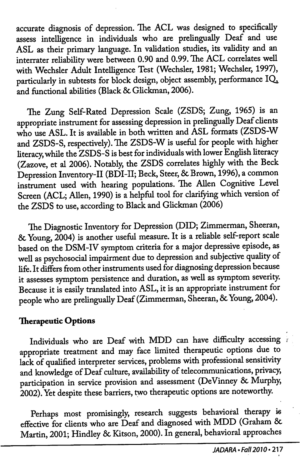accurate diagnosis of depression. The ACL was designed to specifically assess intelligence in individuals who are prelingually Deaf and use ASL as their primary language. In validation studies, its validity and an interrater reliability were between 0.90 and 0.99. The ACL correlates well with Wechsler Adult Intelligence Test (Wechsler, 1981; Wechsler, 1997), particularly in subtests for block design, object assembly, performance  $IQ$ . and fimctional abilities (Black 8c Glickman, 2006).

The Zung Self-Rated Depression Scale (ZSDS; Zung, 1965) is an appropriate instrument for assessing depression in prelingually Deaf clients who use ASL. It is available in both written and ASL formats (ZSDS-W and ZSDS-S, respectively). The ZSDS-W is useful for people with higher literacy, while the ZSDS-S is best for individuals with lower English literacy (Zazove, et al 2006). Notably, the ZSDS correlates highly with the Beck Depression Inventory-II (BDI-II; Beck, Steer, & Brown, 1996), a common instrument used with hearing populations. The Allen Cogmtive Level Screen (ACL; Allen, 1990) is a helpful tool for clarifying which version of the ZSDS to use, according to Black and Glickman (2006)

The Diagnostic Inventory for Depression (DID; Zimmerman, Sheeran, 8c Young, 2004) is another useful measure. It is a reliable self-report scale based on the DSM-IV symptom criteria for a major depressive episode, as well as psychosocial impairment due to depression and subjective quality of life. It differs from other instruments used for diagnosing depression because it assesses symptom persistence and duration, as well as symptom severity. Because it is easily translated into ASL, it is an appropriate instrument for people who are prelingually Deaf (Zimmerman, Sheeran, & Young, 2004).

### Therapeutic Options

Individuals who are Deaf with MDD can have difficulty accessing appropriate treatment and may face limited therapeutic options due to lack of qualified interpreter services, problems with professional sensitivity and knowledge of Deaf culture, availability of telecommunications, privacy, participation in service provision and assessment (DeVinney & Murphy, 2002). Yet despite these barriers, two therapeutic options are noteworthy.

Perhaps most promisingly, research suggests behavioral therapy is effective for clients who are Deaf and diagnosed with MDD (Graham 8c Martin, 2001; Hindley 8c Kitson, 2000). In general, behavioral approaches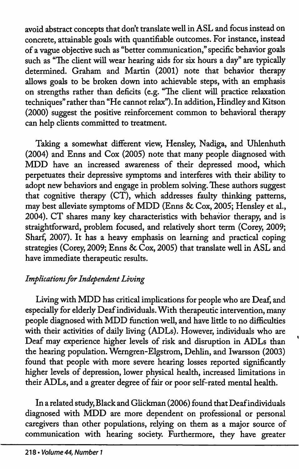avoid abstract concepts that don't translate well in ASL and focus instead on concrete, attainable goals with quantifiable outcomes. For instance, instead of a vague objective such as "better communication," specific behavior goals such as "The client will wear hearing aids for six hours a day" are typically determined. Graham and Martin (2001) note that behavior therapy allows goals to be broken down into achievable steps, with an emphasis on strengths rather than deficits (e.g. "The client will practice relaxation techniques" rather than "He cannot relax"). In addition, Hindley and Kitson (2000) suggest the positive reinforcement common to behavioral therapy can help clients committed to treatment.

Taking a somewhat different view, Hensley, Nadiga, and Uhlenhuth (2004) and Enns and Cox (2005) note that many people diagnosed with MDD have an increased awareness of their depressed mood, which perpetuates their depressive symptoms and interferes with their ability to adopt new behaviors and engage in problem solving. These authors suggest that cognitive therapy (CT), which addresses faulty thinking patterns, may best alleviate symptoms of MDD (Enns & Cox, 2005; Hensley et al., 2004). CT shares many key characteristics with behawor therapy, and is straightforward, problem focused, and relatively short term (Corey, 2009; Sharf, 2007). It has a heavy emphasis on learning and practical coping strategies (Corey, 2009; Enns & Cox, 2005) that translate well in ASL and have immediate therapeutic results.

# Implications for Independent Living

Living with MDD has critical implications for people who are Deaf, and especially for elderly Deaf individuals. With therapeutic intervention, many people diagnosed with MDD function well, and have litde to no difficulties with their activities of daily living (ADLs). However, individuals who are Deaf may experience higher levels of risk and disruption in ADLs than the hearing population. Wemgren-Elgstrom, Dehlin, and Iwarsson (2003) found that people with more severe hearing losses reported significantly higher levels of depression, lower physical health, increased limitations in their ADLs, and a greater degree of fair or poor self-rated mental health.

In a related study. Black and Glickman (2006) found that Deaf individuals diagnosed with MDD are more dependent on professional or personal caregivers than other populations, relying on them as a major source of communication with hearing society. Furthermore, they have greater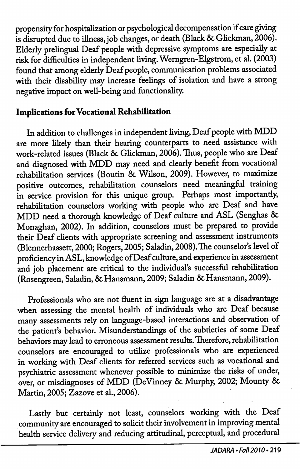propensity for hospitalization or psychological decompensation if care giving is disrupted due to illness, job changes, or death (Black & Glickman, 2006). Elderly prelingual Deaf people with depressive symptoms are especially at risk for difficulties in independent living. Werngren-Elgstrom, et al. (2003) found that among elderly Deaf people, communication problems associated with their disability may increase feelings of isolation and have a strong negative impact on well-being and functionality.

## Implications for Vocational Rehabilitation

In addition to challenges in independent living. Deaf people with MDD are more likely than their hearing counterparts to need assistance with work-related issues (Black & Glickman, 2006). Thus, people who are Deaf and diagnosed with MDD may need and clearly benefit from vocational rehabilitation services (Boutin & Wilson, 2009). However, to maximize positive outcomes, rehabilitation counselors need meaningful training in service provision for this unique group. Perhaps most importantly, rehabilitation counselors working with people who are Deaf and have MDD need a thorough knowledge of Deaf culture and ASL (Senghas 8c Monaghan, 2002). In addition, counselors must be prepared to provide their Deaf clients with appropriate screening and assessment instruments (Blennerhassett, 2000; Rogers, 2005; Saladin, 2008). The counselor's level of proficiency in ASL, knowledge of Deaf culture, and experience in assessment and job placement are critical to the individual's successful rehabilitation (Rosengreen, Saladin, 8c Hansmann, 2009; Saladin 8c Hansmann, 2009).

Professionals who are not fluent in sign language are at a disadvantage when assessing the mental health of individuals who are Deaf because many assessments rely on language-based interactions and observation of the patient's behavior. Misunderstandings of the subtleties of some Deaf behaviors may lead to erroneous assessment results. Therefore, rehabilitation counselors are encouraged to utilize professionals who are experienced in working with Deaf clients for referred services such as vocational and psychiatric assessment whenever possible to minimize the risks of under, over, or misdiagnoses of MDD (DeVinney 8c Murphy, 2002; Mounty 8c Martin, 2005; Zazove et al., 2006).

Lastly but certainly not least, counselors working with the Deaf community are encouraged to solicit their involvement in improving mental health service delivery and reducing attitudinal, perceptual, and procedural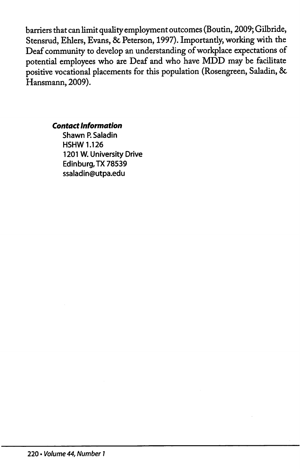barriers that can limit quality employment outcomes (Boutin, 2009; Gilbride, Stensrud, Ehlers, Evans, & Peterson, 1997). Importantly, working with the Deaf community to develop an understanding of workplace expectations of potential employees who are Deaf and who have MDD may be facilitate positive vocational placements for this population (Rosengreen, Saladin, & Hansmann, 2009).

Contact Information

Shawn P. Saladin HSHW 1.126 1201 W. University Drive Edinburg,TX 78539 ssaladin@utpa.edu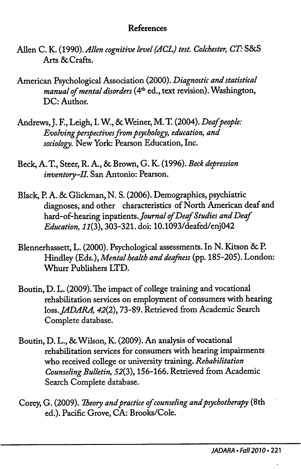## References

- Allen C. K. (1990). Allen cognitive level (ACL) test. Colchester, CT: S&S Arts & Crafts.
- American Psychological Association (2000). Diagnostic and statistical manual of mental disorders (4<sup>th</sup> ed., text revision). Washington, DC: Author.
- Andrews, J. F., Leigh, I. W., & Weiner, M. T. (2004). Deaf people: Evolving perspectives from psychology, education, and sociology. New York: Pearson Education, Inc.
- Beck, A. T., Steer, R. A., 8c Brown, G. K. (1996). Beck depression inventory-II. San Antonio: Pearson.
- Black, P. A. 8c Glickman, N. S. (2006). Demographics, psychiatric diagnoses, and other characteristics of North American deaf and hard-of-hearing inpatients. Journal of Deaf Studies and Deaf Education, 11(3), 303-321. doi: 10.1093/deafed/enj042
- Blennerhassett, L. (2000). Psychological assessments. In N. Kitson & P. Hindley (Eds.), Mental health and deafness (pp. 185-205). London: Whurr Publishers LTD.
- Boutin, D. L. (2009). The impact of college training and vocational rehabilitation services on employment of consumers with hearing loss. JADARA, 42(2), 73-89. Retrieved from Academic Search Complete database.
- Boutin, D. L., 8c Wilson, K. (2009). An analysis of vocational rehabilitation services for consumers with hearing impairments who received college or university training. Rehabilitation Counseling Bulletin, 52(3), 156-166. Retrieved from Academic Search Complete database.
- Corey, G. (2009). Theory and practice of counseling and psychotherapy (8th ed.). Pacific Grove, CA: Brooks/Cole.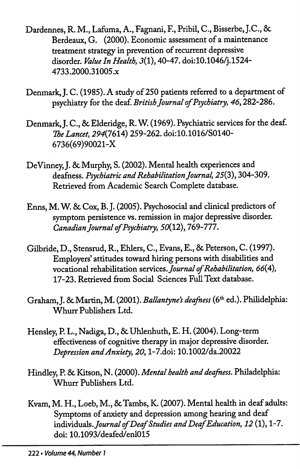- Dardennes, R. M., Lafuma, A., Fagnani, F., Pribil, C., Bisserbe, J.C., 6c Berdeaux, G. (2000). Economic assessment of a maintenance treatment strategy in prevention of recurrent depressive disorder. Value In Health, 3(1), 40-47. doi:10.1046/j.1524-4733.2000.31005.x
- Denmark, J. C. (1985). A study of 250 patients referred to a department of psychiatry for the deaf. British Journal of Psychiatry, 46,282-286.
- Denmark, J. C., & Elderidge, R. W. (1969). Psychiatric services for the deaf. The Lancet, 294(7614) 259-262. doi:10.1016/S0140-6736(69)90021-X
- DeVinney, J. & Murphy, S. (2002). Mental health experiences and deafness. Psychiatric and Rehabilitation Journal, 25(3), 304-309. Retrieved from Academic Search Complete database.
- Enns, M. W. 6c Cox, B.}. (2005). Psychosocial and clinical predictors of symptom persistence vs. remission in major depressive disorder. Canadian Journal of Psychiatry, 50(12), 769-777.
- Gilbride, D., Stensrud, R., Ehlers, C., Evans, E., 6c Peterson, C. (1997). Employers' attitudes toward hiring persons with disabilities and vocational rehabilitation services. Journal of Rehabilitation, 66(4), 17-23. Retrieved from Social Sciences Full Text database.
- Graham, J. & Martin, M. (2001). Ballantyne's deafness (6th ed.). Philidelphia: Whurr Publishers Ltd.
- Hensley, P. L., Nadiga, D., & Uhlenhuth, E. H. (2004). Long-term effectiveness of cognitive therapy in major depressive disorder. Depression and Anxiety, 20, l-7.doi: 10.1002/da.20022
- Hindley, P. & Kitson, N. (2000). Mental health and deafness. Philadelphia: Whurr Publishers Ltd.
- Kvam, M. H., Loeb, M., & Tambs, K. (2007). Mental health in deaf adults: Symptoms of anxiety and depression among hearing and deaf individuals. Journal of Deaf Studies and Deaf Education, 12 (1), 1-7. doi: 10.1093/deafed/enl015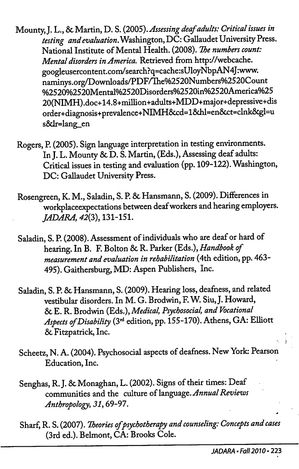- Mounty, J. L., & Martin, D. S. (2005). Assessing deaf adults: Critical issues in testing and evaluation. Washington, DC: Gallaudet University Press. National Institute of Mental Health. (2008). The numbers count: Mental disorders in America. Retrieved from http://webcache. googleusercontent.com/search?q=cache:sUloyNbpAN4J:www. naminys.org/Downloads/PDF/Ihe%2520Numbers%2520Count %2520%2520Mental%2520Disorders%2520in%2520America%25 20(NIMH).doc+14.8+milhon+adults+MDD+major+depressive+dis order+diagnosis+prevalence+NIMH6ccd=16dil=en6cct=clnk6cgl=u s6dr=lang\_en
- Rogers, P. (2005). Sign language interpretation in testing environments. In J. L. Mounty & D. S. Martin, (Eds.), Assessing deaf adults: Critical issues in testing and evaluation (pp. 109-122). Washington, DC: Gallaudet University Press.
- Rosengreen, K. M., Saladin, S. P. & Hansmann, S. (2009). Differences in workplaceexpectations between deaf workers and hearing employers. JADARA, 42(3), 131-151.
- Saladin, S. P. (2008). Assessment of individuals who are deaf or hard of hearing. In B. F. Bolton & R. Parker (Eds.), Handbook of measurement and evaluation in rehabilitation (4th edition, pp. 463- 495). Gaithersburg, MD: Aspen Publishers, Inc.
- Saladin, S. P. & Hansmann, S. (2009). Hearing loss, deafness, and related vestibular disorders. In M. G. Brodwin, F. W^ Siu, J. Howard, 6c E. R. Brodwin (Eds.), Medical, Psychosocial, and Vocational Aspects of Disability (3<sup>rd</sup> edition, pp. 155-170). Athens, GA: Elliott 6c Fitzpatrick, Inc.
- Scheetz, N. A. (2004). Psychosocial aspects of deafness. New York: Pearson Education, Inc.
- Senghas, R. J. & Monaghan, L. (2002). Signs of their times: Deaf communities and the culture of language. Annual Reviews Anthropology, 31,69-97.
- Sharf, R. S. (2007). Theories of psychotherapy and counseling: Concepts and cases (3rd ed.). Belmont, CA: Brooks Cole.